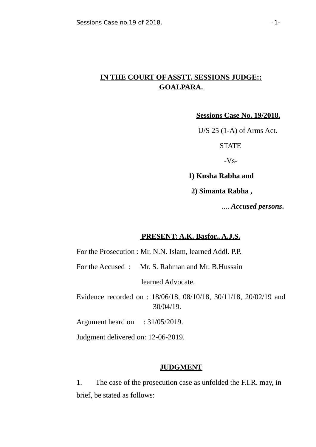# **IN THE COURT OF ASSTT. SESSIONS JUDGE:: GOALPARA.**

**Sessions Case No. 19/2018.**

U/S 25 (1-A) of Arms Act.

**STATE** 

 $-Vs-$ 

**1) Kusha Rabha and**

**2) Simanta Rabha ,** 

.... *Accused persons***.**

### **PRESENT: A.K. Basfor., A.J.S.**

For the Prosecution : Mr. N.N. Islam, learned Addl. P.P.

For the Accused : Mr. S. Rahman and Mr. B.Hussain

learned Advocate.

Evidence recorded on : 18/06/18, 08/10/18, 30/11/18, 20/02/19 and 30/04/19.

Argument heard on : 31/05/2019.

Judgment delivered on: 12-06-2019.

#### **JUDGMENT**

1. The case of the prosecution case as unfolded the F.I.R. may, in brief, be stated as follows: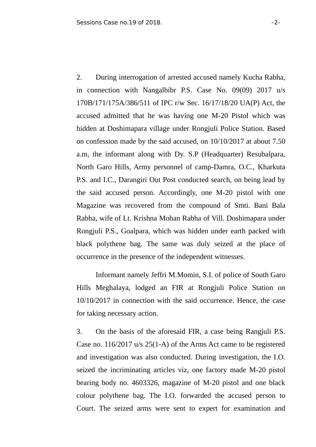2. During interrogation of arrested accused namely Kucha Rabha, in connection with Nangalbibr P.S. Case No. 09(09) 2017 u/s 170B/171/175A/386/511 of IPC r/w Sec. 16/17/18/20 UA(P) Act, the accused admitted that he was having one M-20 Pistol which was hidden at Doshimapara village under Rongjuli Police Station. Based on confession made by the said accused, on 10/10/2017 at about 7.50 a.m, the informant along with Dy. S.P (Headquarter) Resubalpara, North Garo Hills, Army personnel of camp-Damra, O.C., Kharkuta P.S. and I.C., Darangiri Out Post conducted search, on being lead by the said accused person. Accordingly, one M-20 pistol with one Magazine was recovered from the compound of Smti. Bani Bala Rabha, wife of Lt. Krishna Mohan Rabha of Vill. Doshimapara under Rongjuli P.S., Goalpara, which was hidden under earth packed with black polythene bag. The same was duly seized at the place of occurrence in the presence of the independent witnesses.

Informant namely Jeffri M.Momin, S.I. of police of South Garo Hills Meghalaya, lodged an FIR at Rongjuli Police Station on 10/10/2017 in connection with the said occurrence. Hence, the case for taking necessary action.

3. On the basis of the aforesaid FIR, a case being Rangjuli P.S. Case no. 116/2017 u/s 25(1-A) of the Arms Act came to be registered and investigation was also conducted. During investigation, the I.O. seized the incriminating articles viz, one factory made M-20 pistol bearing body no. 4603326, magazine of M-20 pistol and one black colour polythene bag. The I.O. forwarded the accused person to Court. The seized arms were sent to expert for examination and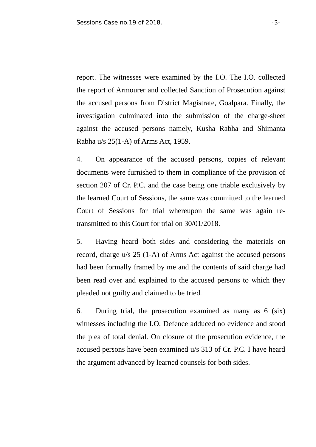report. The witnesses were examined by the I.O. The I.O. collected the report of Armourer and collected Sanction of Prosecution against the accused persons from District Magistrate, Goalpara. Finally, the investigation culminated into the submission of the charge-sheet against the accused persons namely, Kusha Rabha and Shimanta Rabha u/s 25(1-A) of Arms Act, 1959.

4. On appearance of the accused persons, copies of relevant documents were furnished to them in compliance of the provision of section 207 of Cr. P.C. and the case being one triable exclusively by the learned Court of Sessions, the same was committed to the learned Court of Sessions for trial whereupon the same was again retransmitted to this Court for trial on 30/01/2018.

5. Having heard both sides and considering the materials on record, charge u/s 25 (1-A) of Arms Act against the accused persons had been formally framed by me and the contents of said charge had been read over and explained to the accused persons to which they pleaded not guilty and claimed to be tried.

6. During trial, the prosecution examined as many as 6 (six) witnesses including the I.O. Defence adduced no evidence and stood the plea of total denial. On closure of the prosecution evidence, the accused persons have been examined u/s 313 of Cr. P.C. I have heard the argument advanced by learned counsels for both sides.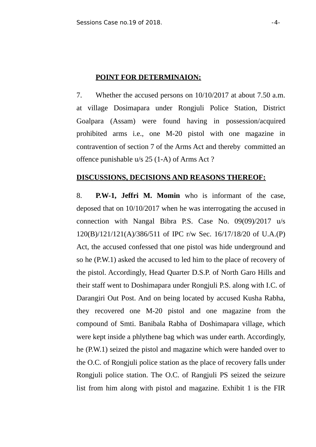#### **POINT FOR DETERMINAION:**

7. Whether the accused persons on 10/10/2017 at about 7.50 a.m. at village Dosimapara under Rongjuli Police Station, District Goalpara (Assam) were found having in possession/acquired prohibited arms i.e., one M-20 pistol with one magazine in contravention of section 7 of the Arms Act and thereby committed an offence punishable u/s 25 (1-A) of Arms Act ?

#### **DISCUSSIONS, DECISIONS AND REASONS THEREOF:**

8. **P.W-1, Jeffri M. Momin** who is informant of the case, deposed that on 10/10/2017 when he was interrogating the accused in connection with Nangal Bibra P.S. Case No. 09(09)/2017 u/s 120(B)/121/121(A)/386/511 of IPC r/w Sec. 16/17/18/20 of U.A.(P) Act, the accused confessed that one pistol was hide underground and so he (P.W.1) asked the accused to led him to the place of recovery of the pistol. Accordingly, Head Quarter D.S.P. of North Garo Hills and their staff went to Doshimapara under Rongjuli P.S. along with I.C. of Darangiri Out Post. And on being located by accused Kusha Rabha, they recovered one M-20 pistol and one magazine from the compound of Smti. Banibala Rabha of Doshimapara village, which were kept inside a phlythene bag which was under earth. Accordingly, he (P.W.1) seized the pistol and magazine which were handed over to the O.C. of Rongjuli police station as the place of recovery falls under Rongjuli police station. The O.C. of Rangjuli PS seized the seizure list from him along with pistol and magazine. Exhibit 1 is the FIR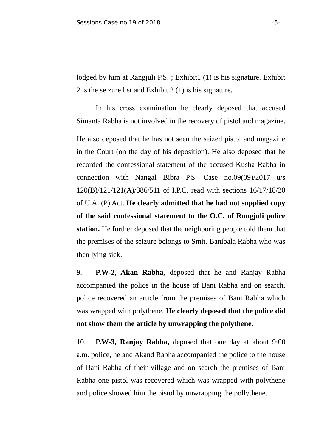lodged by him at Rangjuli P.S.; Exhibit1 (1) is his signature. Exhibit 2 is the seizure list and Exhibit 2 (1) is his signature.

In his cross examination he clearly deposed that accused Simanta Rabha is not involved in the recovery of pistol and magazine.

He also deposed that he has not seen the seized pistol and magazine in the Court (on the day of his deposition). He also deposed that he recorded the confessional statement of the accused Kusha Rabha in connection with Nangal Bibra P.S. Case no.09(09)/2017 u/s 120(B)/121/121(A)/386/511 of I.P.C. read with sections 16/17/18/20 of U.A. (P) Act. **He clearly admitted that he had not supplied copy of the said confessional statement to the O.C. of Rongjuli police station.** He further deposed that the neighboring people told them that the premises of the seizure belongs to Smit. Banibala Rabha who was then lying sick.

9. **P.W-2, Akan Rabha,** deposed that he and Ranjay Rabha accompanied the police in the house of Bani Rabha and on search, police recovered an article from the premises of Bani Rabha which was wrapped with polythene. **He clearly deposed that the police did not show them the article by unwrapping the polythene.** 

10. **P.W-3, Ranjay Rabha,** deposed that one day at about 9:00 a.m. police, he and Akand Rabha accompanied the police to the house of Bani Rabha of their village and on search the premises of Bani Rabha one pistol was recovered which was wrapped with polythene and police showed him the pistol by unwrapping the pollythene.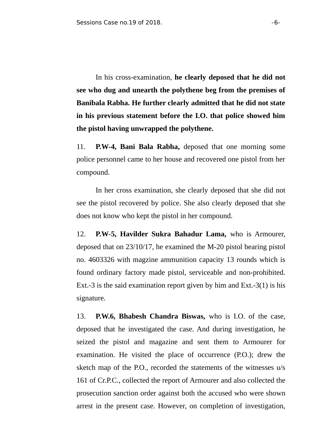In his cross-examination, **he clearly deposed that he did not see who dug and unearth the polythene beg from the premises of Banibala Rabha. He further clearly admitted that he did not state in his previous statement before the I.O. that police showed him the pistol having unwrapped the polythene.** 

11. **P.W-4, Bani Bala Rabha,** deposed that one morning some police personnel came to her house and recovered one pistol from her compound.

In her cross examination, she clearly deposed that she did not see the pistol recovered by police. She also clearly deposed that she does not know who kept the pistol in her compound.

12. **P.W-5, Havilder Sukra Bahadur Lama,** who is Armourer, deposed that on 23/10/17, he examined the M-20 pistol bearing pistol no. 4603326 with magzine ammunition capacity 13 rounds which is found ordinary factory made pistol, serviceable and non-prohibited. Ext.-3 is the said examination report given by him and Ext.-3(1) is his signature.

13. **P.W.6, Bhabesh Chandra Biswas,** who is I.O. of the case, deposed that he investigated the case. And during investigation, he seized the pistol and magazine and sent them to Armourer for examination. He visited the place of occurrence (P.O.); drew the sketch map of the P.O., recorded the statements of the witnesses u/s 161 of Cr.P.C., collected the report of Armourer and also collected the prosecution sanction order against both the accused who were shown arrest in the present case. However, on completion of investigation,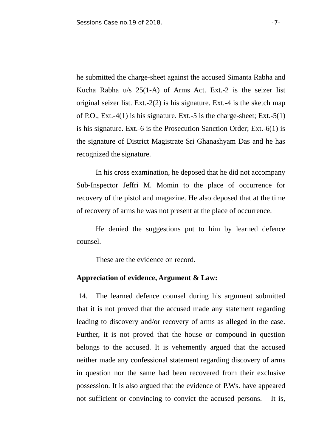he submitted the charge-sheet against the accused Simanta Rabha and Kucha Rabha u/s 25(1-A) of Arms Act. Ext.-2 is the seizer list original seizer list. Ext.-2(2) is his signature. Ext.-4 is the sketch map of P.O., Ext.-4(1) is his signature. Ext.-5 is the charge-sheet; Ext.-5(1) is his signature. Ext.-6 is the Prosecution Sanction Order; Ext.-6(1) is the signature of District Magistrate Sri Ghanashyam Das and he has recognized the signature.

In his cross examination, he deposed that he did not accompany Sub-Inspector Jeffri M. Momin to the place of occurrence for recovery of the pistol and magazine. He also deposed that at the time of recovery of arms he was not present at the place of occurrence.

He denied the suggestions put to him by learned defence counsel.

These are the evidence on record.

### **Appreciation of evidence, Argument & Law:**

 14. The learned defence counsel during his argument submitted that it is not proved that the accused made any statement regarding leading to discovery and/or recovery of arms as alleged in the case. Further, it is not proved that the house or compound in question belongs to the accused. It is vehemently argued that the accused neither made any confessional statement regarding discovery of arms in question nor the same had been recovered from their exclusive possession. It is also argued that the evidence of P.Ws. have appeared not sufficient or convincing to convict the accused persons. It is,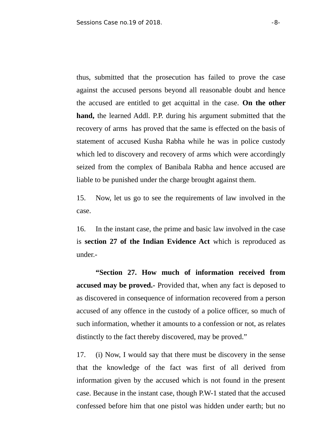thus, submitted that the prosecution has failed to prove the case against the accused persons beyond all reasonable doubt and hence the accused are entitled to get acquittal in the case. **On the other hand,** the learned Addl. P.P. during his argument submitted that the recovery of arms has proved that the same is effected on the basis of statement of accused Kusha Rabha while he was in police custody which led to discovery and recovery of arms which were accordingly seized from the complex of Banibala Rabha and hence accused are liable to be punished under the charge brought against them.

15. Now, let us go to see the requirements of law involved in the case.

16. In the instant case, the prime and basic law involved in the case is **section 27 of the Indian Evidence Act** which is reproduced as under.-

**"Section 27. How much of information received from accused may be proved.-** Provided that, when any fact is deposed to as discovered in consequence of information recovered from a person accused of any offence in the custody of a police officer, so much of such information, whether it amounts to a confession or not, as relates distinctly to the fact thereby discovered, may be proved."

17. (i) Now, I would say that there must be discovery in the sense that the knowledge of the fact was first of all derived from information given by the accused which is not found in the present case. Because in the instant case, though P.W-1 stated that the accused confessed before him that one pistol was hidden under earth; but no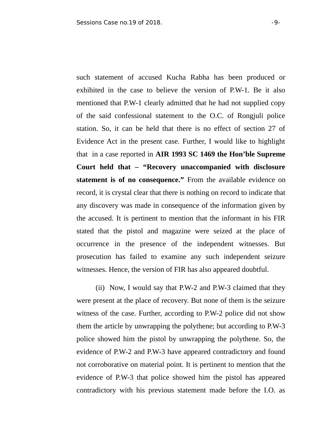such statement of accused Kucha Rabha has been produced or exhibited in the case to believe the version of P.W-1. Be it also mentioned that P.W-1 clearly admitted that he had not supplied copy of the said confessional statement to the O.C. of Rongjuli police station. So, it can be held that there is no effect of section 27 of Evidence Act in the present case. Further, I would like to highlight that in a case reported in **AIR 1993 SC 1469 the Hon'ble Supreme Court held that – "Recovery unaccompanied with disclosure statement is of no consequence."** From the available evidence on record, it is crystal clear that there is nothing on record to indicate that any discovery was made in consequence of the information given by the accused. It is pertinent to mention that the informant in his FIR stated that the pistol and magazine were seized at the place of occurrence in the presence of the independent witnesses. But prosecution has failed to examine any such independent seizure witnesses. Hence, the version of FIR has also appeared doubtful.

(ii) Now, I would say that P.W-2 and P.W-3 claimed that they were present at the place of recovery. But none of them is the seizure witness of the case. Further, according to P.W-2 police did not show them the article by unwrapping the polythene; but according to P.W-3 police showed him the pistol by unwrapping the polythene. So, the evidence of P.W-2 and P.W-3 have appeared contradictory and found not corroborative on material point. It is pertinent to mention that the evidence of P.W-3 that police showed him the pistol has appeared contradictory with his previous statement made before the I.O. as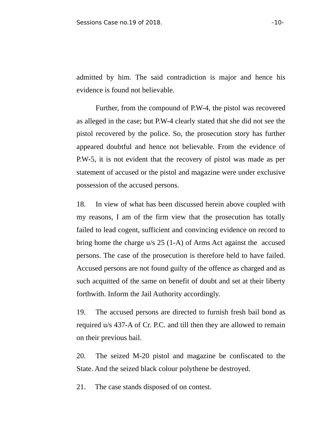admitted by him. The said contradiction is major and hence his evidence is found not believable.

Further, from the compound of P.W-4, the pistol was recovered as alleged in the case; but P.W-4 clearly stated that she did not see the pistol recovered by the police. So, the prosecution story has further appeared doubtful and hence not believable. From the evidence of P.W-5, it is not evident that the recovery of pistol was made as per statement of accused or the pistol and magazine were under exclusive possession of the accused persons.

18. In view of what has been discussed herein above coupled with my reasons, I am of the firm view that the prosecution has totally failed to lead cogent, sufficient and convincing evidence on record to bring home the charge u/s 25 (1-A) of Arms Act against the accused persons. The case of the prosecution is therefore held to have failed. Accused persons are not found guilty of the offence as charged and as such acquitted of the same on benefit of doubt and set at their liberty forthwith. Inform the Jail Authority accordingly.

19. The accused persons are directed to furnish fresh bail bond as required u/s 437-A of Cr. P.C. and till then they are allowed to remain on their previous bail.

20. The seized M-20 pistol and magazine be confiscated to the State. And the seized black colour polythene be destroyed.

21. The case stands disposed of on contest.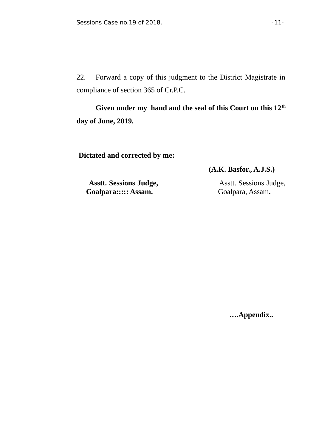22. Forward a copy of this judgment to the District Magistrate in compliance of section 365 of Cr.P.C.

**Given under my hand and the seal of this Court on this 12th day of June, 2019.** 

 **Dictated and corrected by me:**

 **(A.K. Basfor., A.J.S.)**

Asstt. Sessions Judge, **Asstt. Sessions Judge, Goalpara::::: Assam.** Goalpara, Assam**.**

 **….Appendix..**